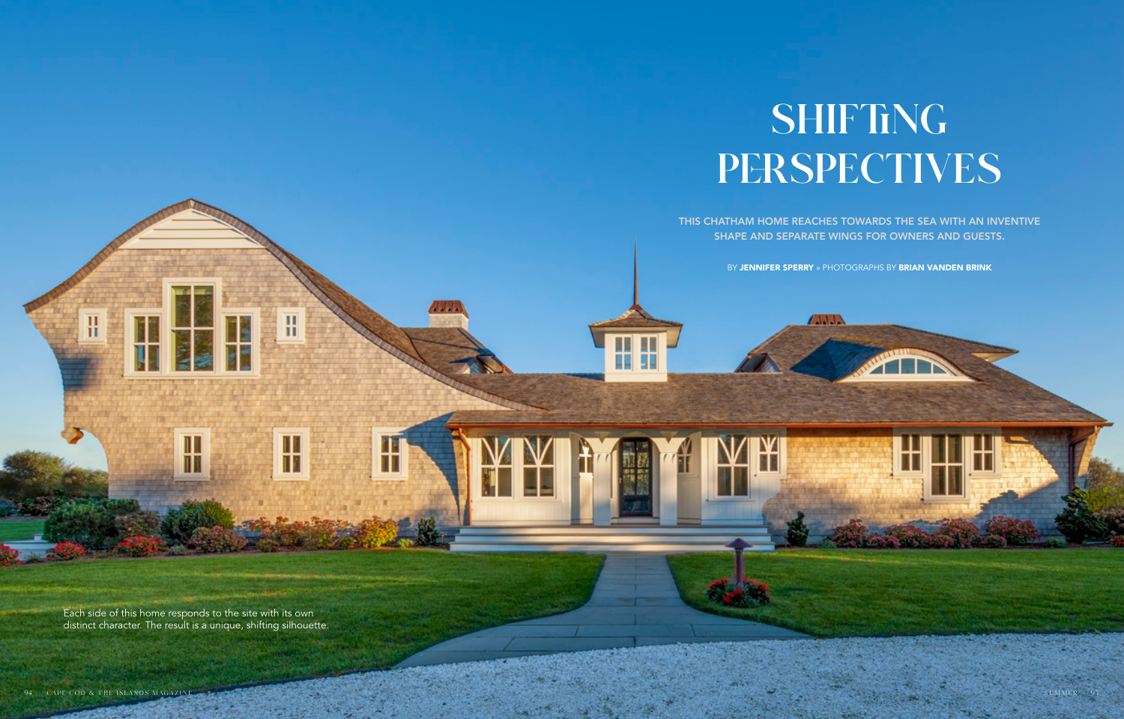

## SHIFTING PERSPECTIVES

THIS CHATHAM HOME REACHES TOWARDS THE SEA WITH AN INVENTIVE SHAPE AND SEPARATE WINGS FOR OWNERS AND GUESTS.

HH N

Each side of this home responds to the site with its own distinct character. The result is a unique, shifting silhouette.

Ш

ĨĪ

H

╫

Π

Ш

H

BY JENNIFER SPERRY » PHOTOGRAPHS BY BRIAN VANDEN BRINK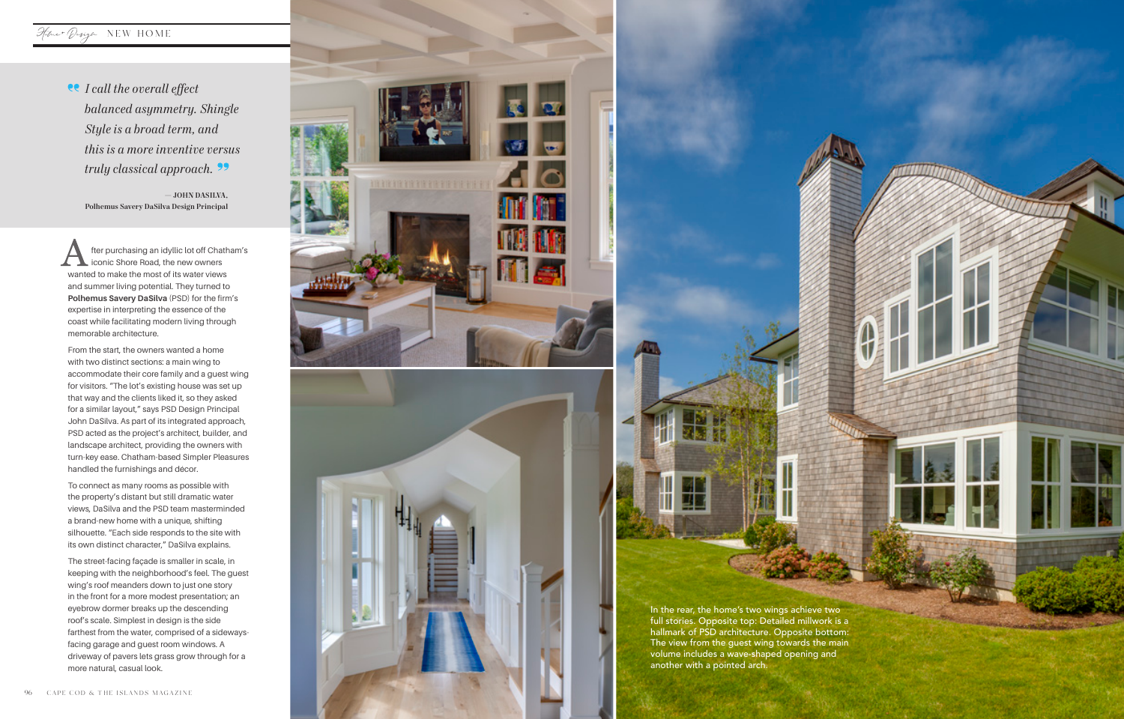## Home+ Design NEW HOME

fter purchasing an idyllic lot off Chatham's iconic Shore Road, the new owners wanted to make the most of its water views and summer living potential. They turned to **Polhemus Savery DaSilva** (PSD) for the firm's expertise in interpreting the essence of the coast while facilitating modern living through memorable architecture.

From the start, the owners wanted a home with two distinct sections: a main wing to accommodate their core family and a guest wing for visitors. "The lot's existing house was set up that way and the clients liked it, so they asked for a similar layout," says PSD Design Principal John DaSilva. As part of its integrated approach, PSD acted as the project's architect, builder, and landscape architect, providing the owners with turn-key ease. Chatham-based Simpler Pleasures handled the furnishings and décor.

To connect as many rooms as possible with the property's distant but still dramatic water views, DaSilva and the PSD team masterminded a brand-new home with a unique, shifting silhouette. "Each side responds to the site with its own distinct character," DaSilva explains.

The street-facing façade is smaller in scale, in keeping with the neighborhood's feel. The guest wing's roof meanders down to just one story in the front for a more modest presentation; an eyebrow dormer breaks up the descending roof's scale. Simplest in design is the side farthest from the water, comprised of a sidewaysfacing garage and guest room windows. A driveway of pavers lets grass grow through for a more natural, casual look.



*I call the overall effect balanced asymmetry. Shingle Style is a broad term, and this is a more inventive versus truly classical approach.*

— JOHN DASILVA, Polhemus Savery DaSilva Design Principal

> In the rear, the home's two wings achieve two full stories. Opposite top: Detailed millwork is a hallmark of PSD architecture. Opposite bottom: The view from the guest wing towards the main volume includes a wave-shaped opening and another with a pointed arch.